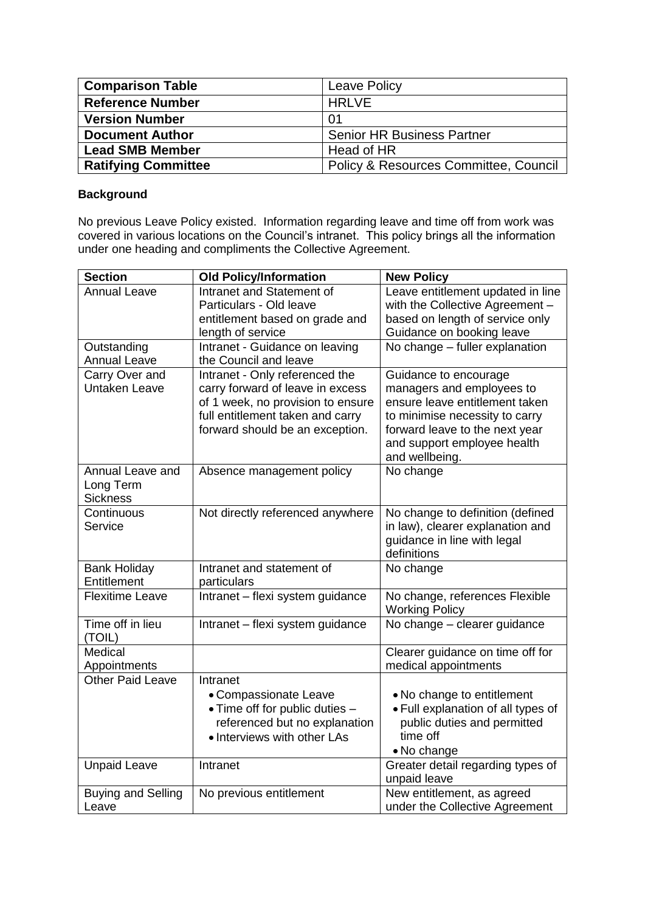| <b>Comparison Table</b>    | <b>Leave Policy</b>                              |
|----------------------------|--------------------------------------------------|
| <b>Reference Number</b>    | <b>HRLVE</b>                                     |
| <b>Version Number</b>      | <u>01</u>                                        |
| <b>Document Author</b>     | <b>Senior HR Business Partner</b>                |
| <b>Lead SMB Member</b>     | Head of HR                                       |
| <b>Ratifying Committee</b> | <b>Policy &amp; Resources Committee, Council</b> |

## **Background**

No previous Leave Policy existed. Information regarding leave and time off from work was covered in various locations on the Council's intranet. This policy brings all the information under one heading and compliments the Collective Agreement.

| <b>Section</b>            | <b>Old Policy/Information</b>     | <b>New Policy</b>                  |
|---------------------------|-----------------------------------|------------------------------------|
| <b>Annual Leave</b>       | Intranet and Statement of         | Leave entitlement updated in line  |
|                           | Particulars - Old leave           | with the Collective Agreement -    |
|                           | entitlement based on grade and    | based on length of service only    |
|                           | length of service                 | Guidance on booking leave          |
| Outstanding               | Intranet - Guidance on leaving    | No change - fuller explanation     |
| <b>Annual Leave</b>       | the Council and leave             |                                    |
| Carry Over and            | Intranet - Only referenced the    | Guidance to encourage              |
| <b>Untaken Leave</b>      | carry forward of leave in excess  | managers and employees to          |
|                           | of 1 week, no provision to ensure | ensure leave entitlement taken     |
|                           | full entitlement taken and carry  | to minimise necessity to carry     |
|                           | forward should be an exception.   | forward leave to the next year     |
|                           |                                   | and support employee health        |
|                           |                                   | and wellbeing.                     |
| Annual Leave and          | Absence management policy         | No change                          |
| Long Term                 |                                   |                                    |
| <b>Sickness</b>           |                                   |                                    |
| Continuous                | Not directly referenced anywhere  | No change to definition (defined   |
| Service                   |                                   | in law), clearer explanation and   |
|                           |                                   | guidance in line with legal        |
|                           |                                   | definitions                        |
| <b>Bank Holiday</b>       | Intranet and statement of         | No change                          |
| Entitlement               | particulars                       |                                    |
| <b>Flexitime Leave</b>    | Intranet - flexi system guidance  | No change, references Flexible     |
|                           |                                   | <b>Working Policy</b>              |
| Time off in lieu          | Intranet - flexi system guidance  | No change - clearer guidance       |
| (TOIL)                    |                                   |                                    |
| Medical                   |                                   | Clearer guidance on time off for   |
| Appointments              |                                   | medical appointments               |
| <b>Other Paid Leave</b>   | Intranet                          |                                    |
|                           | • Compassionate Leave             | • No change to entitlement         |
|                           | • Time off for public duties -    | • Full explanation of all types of |
|                           | referenced but no explanation     | public duties and permitted        |
|                           | • Interviews with other LAs       | time off                           |
|                           |                                   | • No change                        |
| <b>Unpaid Leave</b>       | Intranet                          | Greater detail regarding types of  |
|                           |                                   | unpaid leave                       |
| <b>Buying and Selling</b> | No previous entitlement           | New entitlement, as agreed         |
| Leave                     |                                   | under the Collective Agreement     |